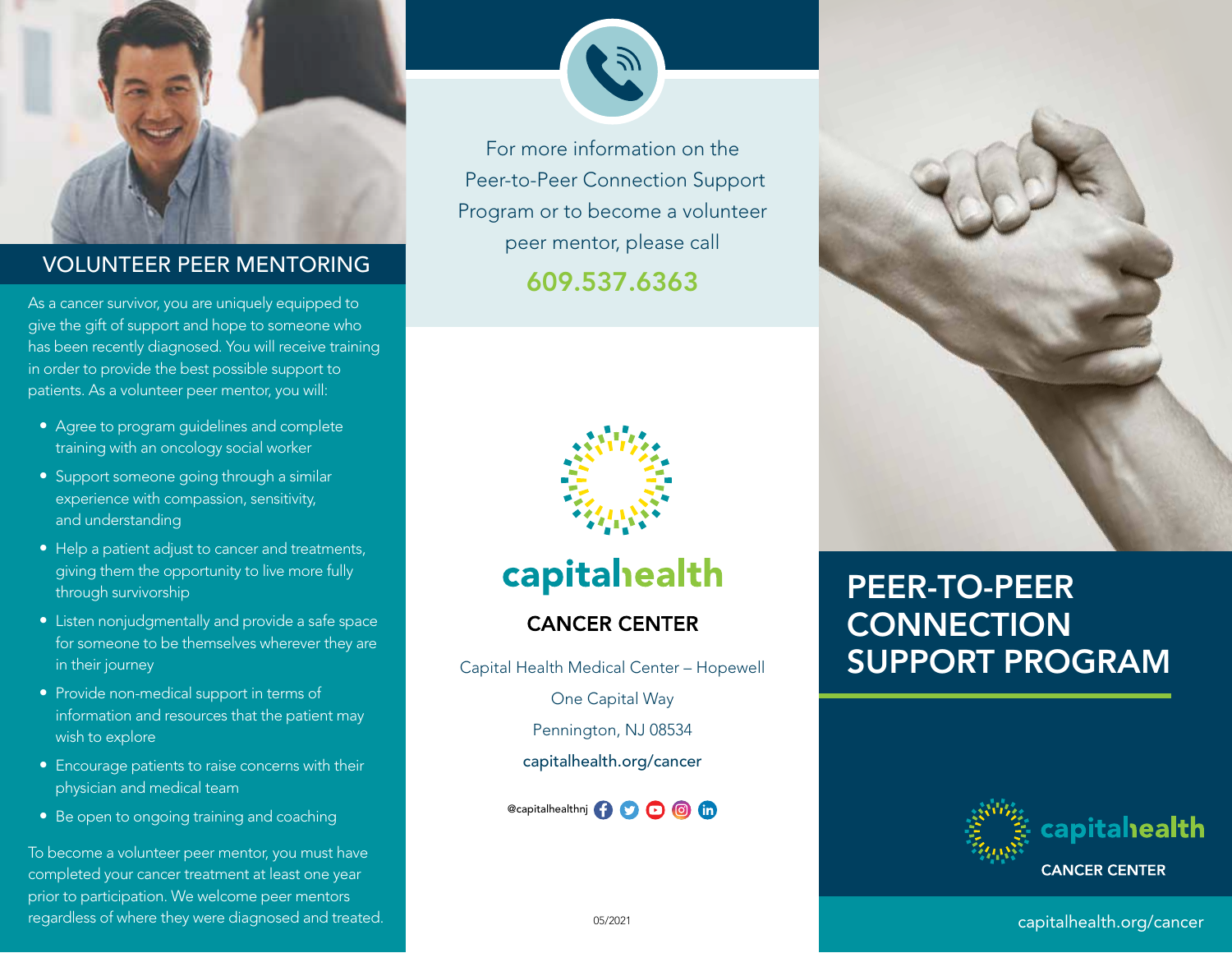

## 609.537.6363 VOLUNTEER PEER MENTORING

As a cancer survivor, you are uniquely equipped to give the gift of support and hope to someone who has been recently diagnosed. You will receive training in order to provide the best possible support to patients. As a volunteer peer mentor, you will:

- Agree to program guidelines and complete training with an oncology social worker
- Support someone going through a similar experience with compassion, sensitivity, and understanding
- Help a patient adjust to cancer and treatments, giving them the opportunity to live more fully through survivorship
- Listen nonjudgmentally and provide a safe space for someone to be themselves wherever they are in their journey
- Provide non-medical support in terms of information and resources that the patient may wish to explore
- Encourage patients to raise concerns with their physician and medical team
- Be open to ongoing training and coaching

To become a volunteer peer mentor, you must have completed your cancer treatment at least one year prior to participation. We welcome peer mentors regardless of where they were diagnosed and treated.

For more information on the Peer-to-Peer Connection Support Program or to become a volunteer peer mentor, please call



capitahealth

## **CANCER CENTER**

Capital Health Medical Center – Hopewell One Capital Way Pennington, NJ 08534 capitalhealth.org/cancer

@capitalhealthnj **0000** 



# PEER-TO-PEER **CONNECTION** SUPPORT PROGRAM



05/2021 capitalhealth.org/cancer